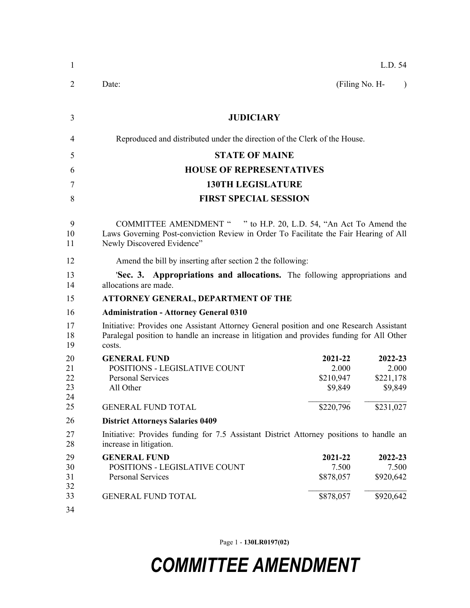| 1              |                                                                                                                                                                                                |                      | L.D. 54              |  |  |
|----------------|------------------------------------------------------------------------------------------------------------------------------------------------------------------------------------------------|----------------------|----------------------|--|--|
| $\overline{2}$ | Date:                                                                                                                                                                                          | (Filing No. H-       | $\lambda$            |  |  |
| 3              | <b>JUDICIARY</b>                                                                                                                                                                               |                      |                      |  |  |
| 4              | Reproduced and distributed under the direction of the Clerk of the House.                                                                                                                      |                      |                      |  |  |
| 5              | <b>STATE OF MAINE</b>                                                                                                                                                                          |                      |                      |  |  |
| 6              | <b>HOUSE OF REPRESENTATIVES</b>                                                                                                                                                                |                      |                      |  |  |
| 7              | <b>130TH LEGISLATURE</b>                                                                                                                                                                       |                      |                      |  |  |
| 8              | <b>FIRST SPECIAL SESSION</b>                                                                                                                                                                   |                      |                      |  |  |
| 9<br>10<br>11  | COMMITTEE AMENDMENT " " to H.P. 20, L.D. 54, "An Act To Amend the<br>Laws Governing Post-conviction Review in Order To Facilitate the Fair Hearing of All<br>Newly Discovered Evidence"        |                      |                      |  |  |
| 12             | Amend the bill by inserting after section 2 the following:                                                                                                                                     |                      |                      |  |  |
| 13<br>14       | 'Sec. 3. Appropriations and allocations. The following appropriations and<br>allocations are made.                                                                                             |                      |                      |  |  |
| 15             | <b>ATTORNEY GENERAL, DEPARTMENT OF THE</b>                                                                                                                                                     |                      |                      |  |  |
| 16             | <b>Administration - Attorney General 0310</b>                                                                                                                                                  |                      |                      |  |  |
| 17<br>18<br>19 | Initiative: Provides one Assistant Attorney General position and one Research Assistant<br>Paralegal position to handle an increase in litigation and provides funding for All Other<br>costs. |                      |                      |  |  |
| 20             | <b>GENERAL FUND</b>                                                                                                                                                                            | 2021-22              | 2022-23              |  |  |
| 21             | POSITIONS - LEGISLATIVE COUNT                                                                                                                                                                  | 2.000                | 2.000                |  |  |
| 22<br>23       | <b>Personal Services</b><br>All Other                                                                                                                                                          | \$210,947<br>\$9,849 | \$221,178<br>\$9,849 |  |  |
| 24             |                                                                                                                                                                                                |                      |                      |  |  |
| 25             | <b>GENERAL FUND TOTAL</b>                                                                                                                                                                      | \$220,796            | \$231,027            |  |  |
| 26             | <b>District Attorneys Salaries 0409</b>                                                                                                                                                        |                      |                      |  |  |
| 27<br>28       | Initiative: Provides funding for 7.5 Assistant District Attorney positions to handle an<br>increase in litigation.                                                                             |                      |                      |  |  |
| 29             | <b>GENERAL FUND</b>                                                                                                                                                                            | 2021-22              | 2022-23              |  |  |
| 30             | POSITIONS - LEGISLATIVE COUNT                                                                                                                                                                  | 7.500                | 7.500                |  |  |
| 31<br>32       | <b>Personal Services</b>                                                                                                                                                                       | \$878,057            | \$920,642            |  |  |
| 33<br>34       | <b>GENERAL FUND TOTAL</b>                                                                                                                                                                      | \$878,057            | \$920,642            |  |  |
|                |                                                                                                                                                                                                |                      |                      |  |  |

Page 1 - **130LR0197(02)**

## *COMMITTEE AMENDMENT*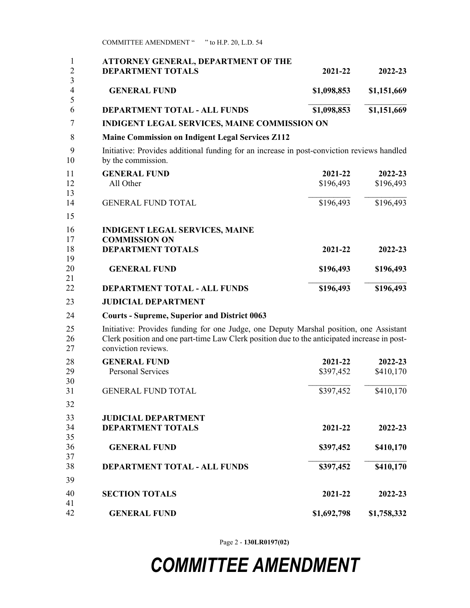| <b>DEPARTMENT TOTALS</b>                                                                                                                                                                                      | 2021-22     | 2022-23     |
|---------------------------------------------------------------------------------------------------------------------------------------------------------------------------------------------------------------|-------------|-------------|
| <b>GENERAL FUND</b>                                                                                                                                                                                           | \$1,098,853 | \$1,151,669 |
| DEPARTMENT TOTAL - ALL FUNDS                                                                                                                                                                                  | \$1,098,853 | \$1,151,669 |
| <b>INDIGENT LEGAL SERVICES, MAINE COMMISSION ON</b>                                                                                                                                                           |             |             |
| <b>Maine Commission on Indigent Legal Services Z112</b>                                                                                                                                                       |             |             |
| Initiative: Provides additional funding for an increase in post-conviction reviews handled<br>by the commission.                                                                                              |             |             |
| <b>GENERAL FUND</b>                                                                                                                                                                                           | 2021-22     | 2022-23     |
| All Other                                                                                                                                                                                                     | \$196,493   | \$196,493   |
| <b>GENERAL FUND TOTAL</b>                                                                                                                                                                                     | \$196,493   | \$196,493   |
| <b>INDIGENT LEGAL SERVICES, MAINE</b><br><b>COMMISSION ON</b>                                                                                                                                                 |             |             |
| <b>DEPARTMENT TOTALS</b>                                                                                                                                                                                      | 2021-22     | 2022-23     |
| <b>GENERAL FUND</b>                                                                                                                                                                                           | \$196,493   | \$196,493   |
| <b>DEPARTMENT TOTAL - ALL FUNDS</b>                                                                                                                                                                           | \$196,493   | \$196,493   |
| <b>JUDICIAL DEPARTMENT</b>                                                                                                                                                                                    |             |             |
| <b>Courts - Supreme, Superior and District 0063</b>                                                                                                                                                           |             |             |
| Initiative: Provides funding for one Judge, one Deputy Marshal position, one Assistant<br>Clerk position and one part-time Law Clerk position due to the anticipated increase in post-<br>conviction reviews. |             |             |
| <b>GENERAL FUND</b>                                                                                                                                                                                           | 2021-22     | 2022-23     |
| <b>Personal Services</b>                                                                                                                                                                                      | \$397,452   | \$410,170   |
| <b>GENERAL FUND TOTAL</b>                                                                                                                                                                                     | \$397,452   | \$410,170   |
|                                                                                                                                                                                                               |             |             |
| <b>JUDICIAL DEPARTMENT</b>                                                                                                                                                                                    |             |             |
| <b>DEPARTMENT TOTALS</b>                                                                                                                                                                                      | 2021-22     | 2022-23     |
| <b>GENERAL FUND</b>                                                                                                                                                                                           | \$397,452   | \$410,170   |
| <b>DEPARTMENT TOTAL - ALL FUNDS</b>                                                                                                                                                                           | \$397,452   | \$410,170   |
| <b>SECTION TOTALS</b>                                                                                                                                                                                         | 2021-22     | 2022-23     |
|                                                                                                                                                                                                               |             |             |
| <b>GENERAL FUND</b>                                                                                                                                                                                           | \$1,692,798 | \$1,758,332 |

COMMITTEE AMENDMENT " " to H.P. 20, L.D. 54

Page 2 - **130LR0197(02)**

## *COMMITTEE AMENDMENT*